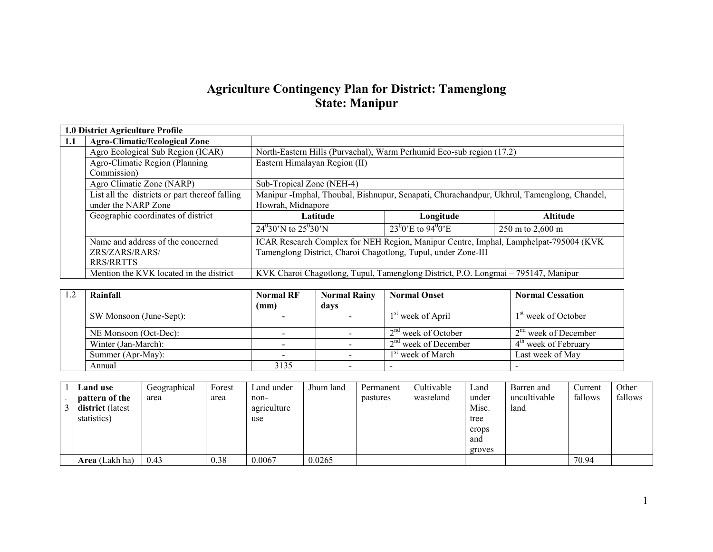# Agriculture Contingency Plan for District: Tamenglong State: Manipur

|     | 1.0 District Agriculture Profile               |                                                                                            |                                            |                  |  |  |
|-----|------------------------------------------------|--------------------------------------------------------------------------------------------|--------------------------------------------|------------------|--|--|
| 1.1 | <b>Agro-Climatic/Ecological Zone</b>           |                                                                                            |                                            |                  |  |  |
|     | Agro Ecological Sub Region (ICAR)              | North-Eastern Hills (Purvachal), Warm Perhumid Eco-sub region (17.2)                       |                                            |                  |  |  |
|     | Agro-Climatic Region (Planning                 | Eastern Himalayan Region (II)                                                              |                                            |                  |  |  |
|     | Commission)                                    |                                                                                            |                                            |                  |  |  |
|     | Agro Climatic Zone (NARP)                      | Sub-Tropical Zone (NEH-4)                                                                  |                                            |                  |  |  |
|     | List all the districts or part thereof falling | Manipur -Imphal, Thoubal, Bishnupur, Senapati, Churachandpur, Ukhrul, Tamenglong, Chandel, |                                            |                  |  |  |
|     | under the NARP Zone                            | Howrah, Midnapore                                                                          |                                            |                  |  |  |
|     | Geographic coordinates of district             | Latitude                                                                                   | Longitude                                  | <b>Altitude</b>  |  |  |
|     |                                                | $24^030'$ N to $25^030'$ N                                                                 | 23 <sup>0</sup> 0'E to 94 <sup>0</sup> 0'E | 250 m to 2,600 m |  |  |
|     | Name and address of the concerned              | ICAR Research Complex for NEH Region, Manipur Centre, Imphal, Lamphelpat-795004 (KVK       |                                            |                  |  |  |
|     | ZRS/ZARS/RARS/                                 | Tamenglong District, Charoi Chagotlong, Tupul, under Zone-III                              |                                            |                  |  |  |
|     | RRS/RRTTS                                      |                                                                                            |                                            |                  |  |  |
|     | Mention the KVK located in the district        | KVK Charoi Chagotlong, Tupul, Tamenglong District, P.O. Longmai - 795147, Manipur          |                                            |                  |  |  |

| Rainfall                | <b>Normal RF</b> | <b>Normal Rainy</b> | <b>Normal Onset</b>           | <b>Normal Cessation</b>         |
|-------------------------|------------------|---------------------|-------------------------------|---------------------------------|
|                         | (mm)             | days                |                               |                                 |
| SW Monsoon (June-Sept): |                  |                     | 1 <sup>st</sup> week of April | 1 <sup>st</sup> week of October |
| NE Monsoon (Oct-Dec):   |                  |                     | $2nd$ week of October         | $2nd$ week of December          |
| Winter (Jan-March):     |                  |                     | $2nd$ week of December        | $4th$ week of February          |
| Summer (Apr-May):       |                  |                     | 1 <sup>st</sup> week of March | Last week of May                |
| Annual                  | 3135             |                     |                               |                                 |

| Land use              | Geographical | Forest | Land under  | Jhum land | Permanent | Cultivable | Land   | Barren and   | Current | Other   |
|-----------------------|--------------|--------|-------------|-----------|-----------|------------|--------|--------------|---------|---------|
| pattern of the        | area         | area   | non-        |           | pastures  | wasteland  | under  | uncultivable | fallows | fallows |
| district (latest      |              |        | agriculture |           |           |            | Misc.  | land         |         |         |
| statistics)           |              |        | use         |           |           |            | tree   |              |         |         |
|                       |              |        |             |           |           |            | crops  |              |         |         |
|                       |              |        |             |           |           |            | and    |              |         |         |
|                       |              |        |             |           |           |            | groves |              |         |         |
| <b>Area</b> (Lakh ha) | 0.43         | 0.38   | 0.0067      | 0.0265    |           |            |        |              | 70.94   |         |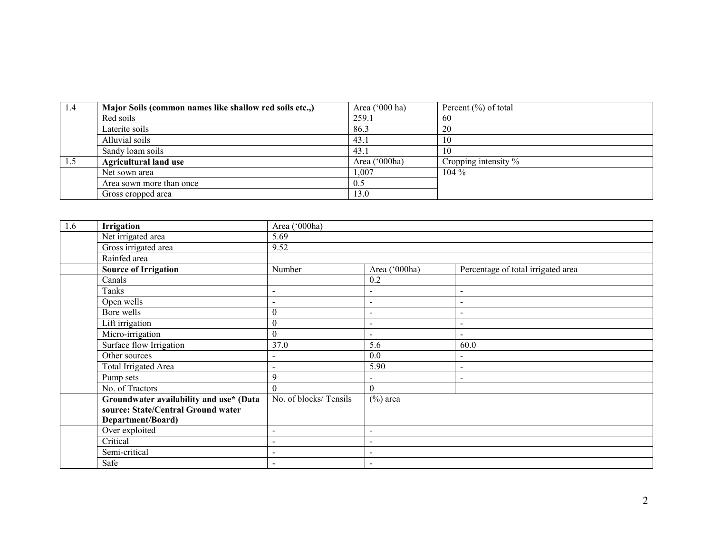| 1.4 | Major Soils (common names like shallow red soils etc.,) | Area $('000 ha)$ | Percent $(\% )$ of total |
|-----|---------------------------------------------------------|------------------|--------------------------|
|     | Red soils                                               | 259.1            | 60                       |
|     | Laterite soils                                          | 86.3             | 20                       |
|     | Alluvial soils                                          | 43.1             | l0                       |
|     | Sandy loam soils                                        | 43.1             | 10                       |
| 1.5 | <b>Agricultural land use</b>                            | Area ('000ha)    | Cropping intensity %     |
|     | Net sown area                                           | .007             | $104\%$                  |
|     | Area sown more than once                                | 0.5              |                          |
|     | Gross cropped area                                      | 13.0             |                          |

| 1.6 | Irrigation                              | Area ('000ha)            |                          |                                    |  |  |  |  |  |
|-----|-----------------------------------------|--------------------------|--------------------------|------------------------------------|--|--|--|--|--|
|     | Net irrigated area                      | 5.69                     |                          |                                    |  |  |  |  |  |
|     | Gross irrigated area                    | 9.52                     |                          |                                    |  |  |  |  |  |
|     | Rainfed area                            |                          |                          |                                    |  |  |  |  |  |
|     | <b>Source of Irrigation</b>             | Number                   | Area ('000ha)            | Percentage of total irrigated area |  |  |  |  |  |
|     | Canals                                  |                          | 0.2                      |                                    |  |  |  |  |  |
|     | Tanks                                   | $\blacksquare$           | $\sim$                   | $\sim$                             |  |  |  |  |  |
|     | Open wells                              |                          | $\sim$                   | $\sim$                             |  |  |  |  |  |
|     | Bore wells                              | $\theta$                 | $\overline{\phantom{a}}$ | $\overline{\phantom{a}}$           |  |  |  |  |  |
|     | Lift irrigation                         | $\boldsymbol{0}$         | $\overline{\phantom{a}}$ | $\sim$                             |  |  |  |  |  |
|     | Micro-irrigation                        | $\theta$                 | $\sim$                   | $\sim$                             |  |  |  |  |  |
|     | Surface flow Irrigation                 | 37.0                     | 5.6                      | 60.0                               |  |  |  |  |  |
|     | Other sources                           |                          | 0.0                      | $\overline{\phantom{0}}$           |  |  |  |  |  |
|     | <b>Total Irrigated Area</b>             | $\overline{\phantom{a}}$ | 5.90                     | $\sim$                             |  |  |  |  |  |
|     | Pump sets                               | 9                        | $\sim$                   | $\overline{\phantom{0}}$           |  |  |  |  |  |
|     | No. of Tractors                         | $\theta$                 | $\theta$                 |                                    |  |  |  |  |  |
|     | Groundwater availability and use* (Data | No. of blocks/Tensils    | $(\%)$ area              |                                    |  |  |  |  |  |
|     | source: State/Central Ground water      |                          |                          |                                    |  |  |  |  |  |
|     | Department/Board)                       |                          |                          |                                    |  |  |  |  |  |
|     | Over exploited                          | $\overline{\phantom{a}}$ | $\sim$                   |                                    |  |  |  |  |  |
|     | Critical                                |                          | $\overline{\phantom{a}}$ |                                    |  |  |  |  |  |
|     | Semi-critical                           | $\overline{\phantom{a}}$ | $\overline{\phantom{a}}$ |                                    |  |  |  |  |  |
|     | Safe                                    |                          | $\overline{\phantom{a}}$ |                                    |  |  |  |  |  |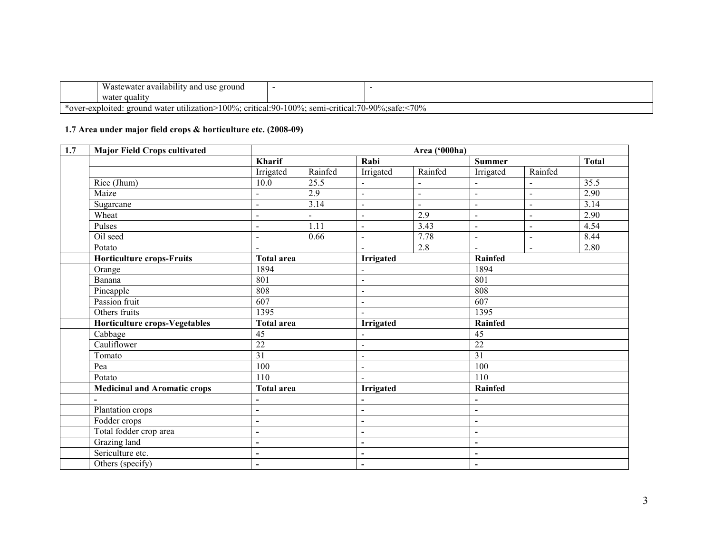|       | $\cdot\cdot\cdot$<br>T<br>l use ground<br>Wastewater availability and                                                                 |  |  |  |  |  |  |
|-------|---------------------------------------------------------------------------------------------------------------------------------------|--|--|--|--|--|--|
|       | water quality                                                                                                                         |  |  |  |  |  |  |
| *ove. | 70%<br>$100\%$<br>100%<br>$:70-90\%$<br>critical:90-<br>semi-critical:<br>r-exploited:<br>water utilization $\geq$<br>safe.<br>ground |  |  |  |  |  |  |

# 1.7 Area under major field crops & horticulture etc. (2008-09)

| 1.7 | <b>Major Field Crops cultivated</b> | Area ('000ha)            |                   |                          |                          |                          |                          |              |  |
|-----|-------------------------------------|--------------------------|-------------------|--------------------------|--------------------------|--------------------------|--------------------------|--------------|--|
|     |                                     | Kharif                   |                   | Rabi                     |                          | <b>Summer</b>            |                          | <b>Total</b> |  |
|     |                                     | Irrigated                | Rainfed           | Irrigated                | Rainfed                  | Irrigated                | Rainfed                  |              |  |
|     | Rice (Jhum)                         | 10.0                     | 25.5              |                          |                          |                          | $\overline{\phantom{0}}$ | 35.5         |  |
|     | Maize                               |                          | 2.9               | $\blacksquare$           | $\overline{\phantom{a}}$ | $\sim$                   | $\blacksquare$           | 2.90         |  |
|     | Sugarcane                           | $\overline{a}$           | 3.14              | $\blacksquare$           | $\overline{a}$           | $\blacksquare$           | $\overline{\phantom{0}}$ | 3.14         |  |
|     | Wheat                               | $\overline{a}$           | $\blacksquare$    | $\blacksquare$           | 2.9                      | $\overline{\phantom{a}}$ | $\overline{\phantom{0}}$ | 2.90         |  |
|     | Pulses                              | $\overline{a}$           | $\overline{1.11}$ | $\blacksquare$           | 3.43                     | $\sim$                   | $\overline{a}$           | 4.54         |  |
|     | Oil seed                            | $\blacksquare$           | 0.66              | $\blacksquare$           | 7.78                     | $\blacksquare$           | ÷,                       | 8.44         |  |
|     | Potato                              |                          |                   |                          | 2.8                      |                          | ÷,                       | 2.80         |  |
|     | <b>Horticulture crops-Fruits</b>    | <b>Total area</b>        |                   | Irrigated                |                          | Rainfed                  |                          |              |  |
|     | Orange                              | 1894                     |                   |                          |                          | 1894                     |                          |              |  |
|     | 801<br>Banana                       |                          |                   | $\blacksquare$           |                          | 801                      |                          |              |  |
|     | Pineapple                           | 808<br>607               |                   | $\blacksquare$           |                          | 808                      |                          |              |  |
|     | Passion fruit                       |                          |                   | $\blacksquare$           |                          | 607                      |                          |              |  |
|     | Others fruits                       | 1395                     |                   | $\sim$                   |                          | 1395                     |                          |              |  |
|     | Horticulture crops-Vegetables       | <b>Total area</b>        |                   | <b>Irrigated</b>         |                          | Rainfed                  |                          |              |  |
|     | Cabbage                             | $\overline{45}$          |                   |                          |                          | $\overline{45}$          |                          |              |  |
|     | Cauliflower                         | $\overline{22}$          |                   | $\blacksquare$           |                          | $\overline{22}$          |                          |              |  |
|     | Tomato                              | $\overline{31}$          |                   | $\blacksquare$           |                          | $\overline{31}$          |                          |              |  |
|     | Pea                                 | 100                      |                   | $\blacksquare$           |                          | 100                      |                          |              |  |
|     | Potato                              | 110                      |                   |                          |                          | 110                      |                          |              |  |
|     | <b>Medicinal and Aromatic crops</b> | <b>Total area</b>        |                   | Irrigated                |                          | Rainfed                  |                          |              |  |
|     |                                     |                          |                   |                          |                          |                          |                          |              |  |
|     | Plantation crops                    | $\blacksquare$           |                   | $\blacksquare$           |                          | $\blacksquare$           |                          |              |  |
|     | Fodder crops                        | $\blacksquare$           |                   | $\overline{\phantom{a}}$ |                          | $\blacksquare$           |                          |              |  |
|     | Total fodder crop area              | $\overline{\phantom{a}}$ |                   | $\overline{\phantom{a}}$ |                          | $\overline{\phantom{a}}$ |                          |              |  |
|     | Grazing land                        |                          |                   | $\overline{\phantom{a}}$ |                          | $\overline{\phantom{a}}$ |                          |              |  |
|     | Sericulture etc.                    | $\blacksquare$           |                   | $\blacksquare$           |                          | $\blacksquare$           |                          |              |  |
|     | Others (specify)                    |                          |                   | $\blacksquare$           |                          | $\blacksquare$           |                          |              |  |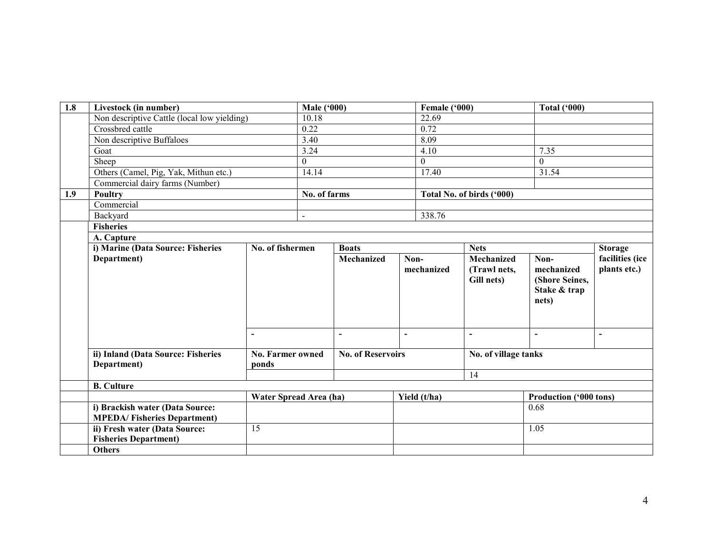| 1.8 | Livestock (in number)                                                 |                                           | <b>Male ('000)</b> |                                                          |                        | Female ('000)                                                                                    |                           | <b>Total ('000)</b>                                                 |                                                             |
|-----|-----------------------------------------------------------------------|-------------------------------------------|--------------------|----------------------------------------------------------|------------------------|--------------------------------------------------------------------------------------------------|---------------------------|---------------------------------------------------------------------|-------------------------------------------------------------|
|     | Non descriptive Cattle (local low yielding)                           |                                           | 10.18              |                                                          |                        | 22.69                                                                                            |                           |                                                                     |                                                             |
|     | Crossbred cattle                                                      |                                           | 0.22               |                                                          |                        | 0.72                                                                                             |                           |                                                                     |                                                             |
|     | Non descriptive Buffaloes                                             |                                           | 3.40               |                                                          |                        | 8.09                                                                                             |                           |                                                                     |                                                             |
|     | Goat                                                                  |                                           | 3.24               |                                                          |                        | 4.10<br>$\theta$                                                                                 |                           | 7.35                                                                |                                                             |
|     | Sheep                                                                 |                                           | $\theta$           |                                                          |                        |                                                                                                  |                           | $\theta$                                                            |                                                             |
|     | Others (Camel, Pig, Yak, Mithun etc.)                                 |                                           | 14.14              |                                                          |                        | 17.40                                                                                            |                           | 31.54                                                               |                                                             |
|     | Commercial dairy farms (Number)                                       |                                           |                    |                                                          |                        |                                                                                                  |                           |                                                                     |                                                             |
| 1.9 | Poultry                                                               |                                           | No. of farms       |                                                          |                        |                                                                                                  | Total No. of birds ('000) |                                                                     |                                                             |
|     | Commercial                                                            |                                           |                    |                                                          |                        |                                                                                                  |                           |                                                                     |                                                             |
|     | Backyard                                                              |                                           |                    |                                                          |                        | 338.76                                                                                           |                           |                                                                     |                                                             |
|     | <b>Fisheries</b>                                                      |                                           |                    |                                                          |                        |                                                                                                  |                           |                                                                     |                                                             |
|     | A. Capture                                                            |                                           |                    |                                                          |                        |                                                                                                  |                           |                                                                     |                                                             |
|     | i) Marine (Data Source: Fisheries<br>No. of fishermen                 |                                           |                    | <b>Boats</b>                                             |                        |                                                                                                  | <b>Nets</b>               |                                                                     | <b>Storage</b>                                              |
|     | Department)<br>ii) Inland (Data Source: Fisheries                     | $\blacksquare$<br><b>No. Farmer owned</b> |                    | Mechanized<br>$\blacksquare$<br><b>No. of Reservoirs</b> | Non-<br>$\blacksquare$ | Mechanized<br>(Trawl nets,<br>mechanized<br>Gill nets)<br>$\blacksquare$<br>No. of village tanks |                           | Non-<br>mechanized<br>(Shore Seines,<br>Stake & trap<br>nets)<br>L. | facilities (ice<br>plants etc.)<br>$\overline{\phantom{a}}$ |
|     | Department)                                                           | ponds                                     |                    |                                                          |                        |                                                                                                  |                           |                                                                     |                                                             |
|     |                                                                       |                                           |                    |                                                          |                        |                                                                                                  | 14                        |                                                                     |                                                             |
|     | <b>B.</b> Culture                                                     |                                           |                    |                                                          |                        |                                                                                                  |                           |                                                                     |                                                             |
|     |                                                                       | Water Spread Area (ha)                    |                    |                                                          |                        | Yield (t/ha)                                                                                     |                           | Production ('000 tons)                                              |                                                             |
|     | i) Brackish water (Data Source:<br><b>MPEDA/Fisheries Department)</b> |                                           |                    |                                                          |                        |                                                                                                  |                           | 0.68                                                                |                                                             |
|     | ii) Fresh water (Data Source:<br><b>Fisheries Department)</b>         | 15                                        |                    |                                                          |                        |                                                                                                  |                           | 1.05                                                                |                                                             |
|     | <b>Others</b>                                                         |                                           |                    |                                                          |                        |                                                                                                  |                           |                                                                     |                                                             |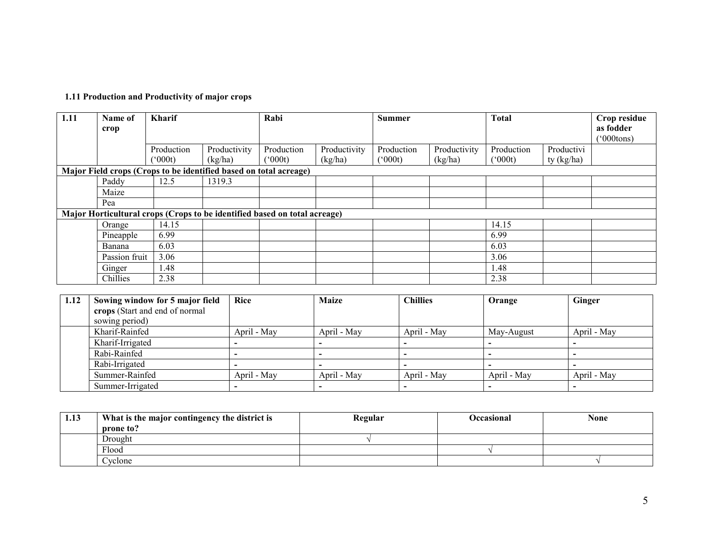| 1.11 Production and Productivity of major crops |
|-------------------------------------------------|
|-------------------------------------------------|

| 1.11                                                                      | Name of                         | <b>Kharif</b> |              | Rabi                                                              |              | <b>Summer</b>   |              | <b>Total</b>     |            | Crop residue  |
|---------------------------------------------------------------------------|---------------------------------|---------------|--------------|-------------------------------------------------------------------|--------------|-----------------|--------------|------------------|------------|---------------|
|                                                                           | crop                            |               |              |                                                                   |              |                 |              |                  |            | as fodder     |
|                                                                           |                                 |               |              |                                                                   |              |                 |              |                  |            | $(°000$ tons) |
|                                                                           |                                 | Production    | Productivity | Production                                                        | Productivity | Production      | Productivity | Production       | Productivi |               |
|                                                                           |                                 | $(^{o}000t)$  | (kg/ha)      | $(^{o}000t)$                                                      | (kg/ha)      | $(^{o}000t)$    | (kg/ha)      | $^{\prime}000t)$ | ty (kg/ha) |               |
|                                                                           |                                 |               |              | Major Field crops (Crops to be identified based on total acreage) |              |                 |              |                  |            |               |
|                                                                           | Paddy                           | 12.5          | 1319.3       |                                                                   |              |                 |              |                  |            |               |
|                                                                           | Maize                           |               |              |                                                                   |              |                 |              |                  |            |               |
|                                                                           | Pea                             |               |              |                                                                   |              |                 |              |                  |            |               |
| Major Horticultural crops (Crops to be identified based on total acreage) |                                 |               |              |                                                                   |              |                 |              |                  |            |               |
|                                                                           | Orange                          | 14.15         |              |                                                                   |              |                 |              | 14.15            |            |               |
|                                                                           | Pineapple                       | 6.99          |              |                                                                   |              |                 |              | 6.99             |            |               |
|                                                                           | Banana                          | 6.03          |              |                                                                   |              |                 |              | 6.03             |            |               |
|                                                                           | Passion fruit                   | 3.06          |              |                                                                   |              |                 |              | 3.06             |            |               |
|                                                                           | Ginger                          | 1.48          |              |                                                                   |              |                 |              | 1.48             |            |               |
|                                                                           | Chillies                        | 2.38          |              |                                                                   |              |                 |              | 2.38             |            |               |
|                                                                           |                                 |               |              |                                                                   |              |                 |              |                  |            |               |
| 1.12                                                                      | Sowing window for 5 major field |               | Rice         |                                                                   | <b>Maize</b> | <b>Chillies</b> |              | Orange           | Ginger     |               |
|                                                                           | crops (Start and end of normal  |               |              |                                                                   |              |                 |              |                  |            |               |
|                                                                           | sowing period)                  |               |              |                                                                   |              |                 |              |                  |            |               |

| sowing period)   |             |             |             |             |             |
|------------------|-------------|-------------|-------------|-------------|-------------|
| Kharif-Rainfed   | April - May | April - May | April - May | May-August  | April - May |
| Kharif-Irrigated |             |             |             |             |             |
| Rabi-Rainfed     |             |             |             |             |             |
| Rabi-Irrigated   |             |             |             |             |             |
| Summer-Rainfed   | April - May | April - May | April - May | April - May | April - May |
| Summer-Irrigated |             |             |             |             |             |

| 1.13 | What is the major contingency the district is | Regular | Occasional | <b>None</b> |
|------|-----------------------------------------------|---------|------------|-------------|
|      | prone to?                                     |         |            |             |
|      | Drought                                       |         |            |             |
|      | Flood                                         |         |            |             |
|      | Cyclone                                       |         |            |             |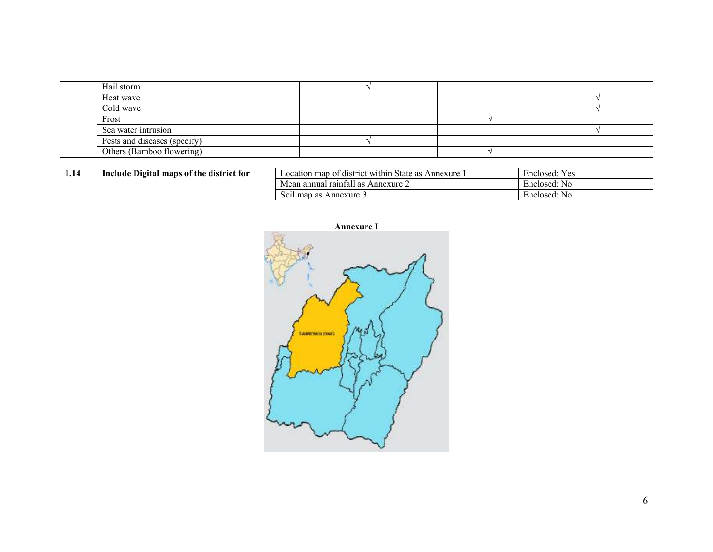| Hail storm                   |  |  |
|------------------------------|--|--|
| Heat wave                    |  |  |
| Cold wave                    |  |  |
| Frost                        |  |  |
| Sea water intrusion          |  |  |
| Pests and diseases (specify) |  |  |
| Others (Bamboo flowering)    |  |  |

| 1.14 | <b>Example 1 e</b> Digital maps of the district for<br>Include | $\cdot$ .<br>$\sim$<br>Location map<br>t district within<br>State as<br>Annexure<br>ОT | Enclosed:<br>y es |
|------|----------------------------------------------------------------|----------------------------------------------------------------------------------------|-------------------|
|      |                                                                | a annual raintall as n<br>$\hat{\ }$ Annexure $\angle$<br>Mear                         | Enclosed:<br>NG   |
|      |                                                                | Soil map as Annexure 3                                                                 | Enclosed:<br>NG   |





6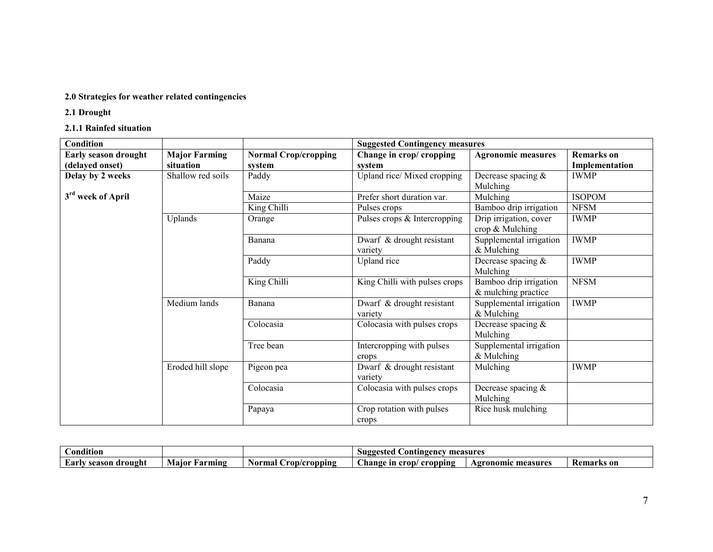# 2.0 Strategies for weather related contingencies

2.1 Drought

# 2.1.1 Rainfed situation

| Condition                                      |                                   |                                       | <b>Suggested Contingency measures</b> |                                               |                              |
|------------------------------------------------|-----------------------------------|---------------------------------------|---------------------------------------|-----------------------------------------------|------------------------------|
| <b>Early season drought</b><br>(delayed onset) | <b>Major Farming</b><br>situation | <b>Normal Crop/cropping</b><br>system | Change in crop/ cropping<br>system    | <b>Agronomic measures</b>                     | Remarks on<br>Implementation |
| Delay by 2 weeks                               | Shallow red soils                 | Paddy                                 | Upland rice/ Mixed cropping           | Decrease spacing &<br>Mulching                | <b>IWMP</b>                  |
| 3 <sup>rd</sup> week of April                  |                                   | Maize                                 | Prefer short duration var.            | Mulching                                      | <b>ISOPOM</b>                |
|                                                |                                   | King Chilli                           | Pulses crops                          | Bamboo drip irrigation                        | <b>NFSM</b>                  |
|                                                | Uplands                           | Orange                                | Pulses crops & Intercropping          | Drip irrigation, cover<br>crop & Mulching     | <b>IWMP</b>                  |
|                                                |                                   | Banana                                | Dwarf & drought resistant<br>variety  | Supplemental irrigation<br>$&$ Mulching       | <b>IWMP</b>                  |
|                                                |                                   | Paddy                                 | Upland rice                           | Decrease spacing $&$<br>Mulching              | <b>IWMP</b>                  |
|                                                |                                   | King Chilli                           | King Chilli with pulses crops         | Bamboo drip irrigation<br>& mulching practice | <b>NFSM</b>                  |
|                                                | Medium lands                      | Banana                                | Dwarf & drought resistant<br>variety  | Supplemental irrigation<br>$&$ Mulching       | <b>IWMP</b>                  |
|                                                |                                   | Colocasia                             | Colocasia with pulses crops           | Decrease spacing &<br>Mulching                |                              |
|                                                |                                   | Tree bean                             | Intercropping with pulses<br>crops    | Supplemental irrigation<br>$&$ Mulching       |                              |
|                                                | Eroded hill slope                 | Pigeon pea                            | Dwarf & drought resistant<br>variety  | Mulching                                      | <b>IWMP</b>                  |
|                                                |                                   | Colocasia                             | Colocasia with pulses crops           | Decrease spacing $&$<br>Mulching              |                              |
|                                                |                                   | Papaya                                | Crop rotation with pulses<br>crops    | Rice husk mulching                            |                              |

| $\cdots$<br><b>ondition</b> |                         |                         | Suggested<br>ontingency_<br>measures                                          |                         |                           |
|-----------------------------|-------------------------|-------------------------|-------------------------------------------------------------------------------|-------------------------|---------------------------|
| season<br>drought<br>£arF   | <b>Farming</b><br>Maior | rop/cropping/<br>Normal | $\sim$<br><b>hange</b><br>$\mathbf{C} \mathbf{C} \mathbf{D}$<br>cropping<br>m | : measures<br>Agronomic | <b>Remarks</b> on<br>- ne |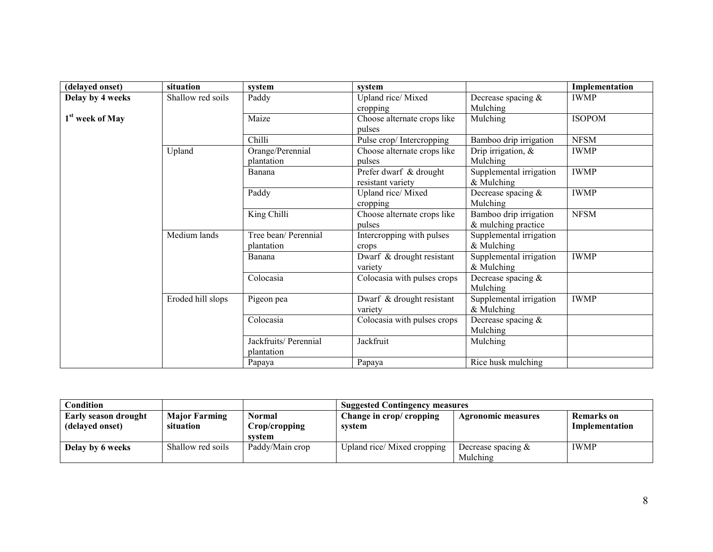| (delayed onset)             | situation         | system                              | system                                      |                                               | Implementation |
|-----------------------------|-------------------|-------------------------------------|---------------------------------------------|-----------------------------------------------|----------------|
| Delay by 4 weeks            | Shallow red soils | Paddy                               | Upland rice/Mixed<br>cropping               | Decrease spacing &<br>Mulching                | <b>IWMP</b>    |
| 1 <sup>st</sup> week of May |                   | Maize                               | Choose alternate crops like<br>pulses       | Mulching                                      | <b>ISOPOM</b>  |
|                             |                   | Chilli                              | Pulse crop/Intercropping                    | Bamboo drip irrigation                        | <b>NFSM</b>    |
|                             | Upland            | Orange/Perennial<br>plantation      | Choose alternate crops like<br>pulses       | Drip irrigation, $\&$<br>Mulching             | <b>IWMP</b>    |
|                             |                   | Banana                              | Prefer dwarf & drought<br>resistant variety | Supplemental irrigation<br>$&$ Mulching       | <b>IWMP</b>    |
|                             |                   | Paddy                               | Upland rice/Mixed<br>cropping               | Decrease spacing $&$<br>Mulching              | <b>IWMP</b>    |
|                             |                   | King Chilli                         | Choose alternate crops like<br>pulses       | Bamboo drip irrigation<br>& mulching practice | <b>NFSM</b>    |
|                             | Medium lands      | Tree bean/ Perennial<br>plantation  | Intercropping with pulses<br>crops          | Supplemental irrigation<br>$&$ Mulching       |                |
|                             |                   | Banana                              | Dwarf & drought resistant<br>variety        | Supplemental irrigation<br>$&$ Mulching       | <b>IWMP</b>    |
|                             |                   | Colocasia                           | Colocasia with pulses crops                 | Decrease spacing &<br>Mulching                |                |
|                             | Eroded hill slops | Pigeon pea                          | Dwarf & drought resistant<br>variety        | Supplemental irrigation<br>$&$ Mulching       | <b>IWMP</b>    |
|                             |                   | Colocasia                           | Colocasia with pulses crops                 | Decrease spacing $&$<br>Mulching              |                |
|                             |                   | Jackfruits/ Perennial<br>plantation | Jackfruit                                   | Mulching                                      |                |
|                             |                   | Papaya                              | Papaya                                      | Rice husk mulching                            |                |

| Condition                                      |                                   |                                          | <b>Suggested Contingency measures</b> |                                   |                              |  |
|------------------------------------------------|-----------------------------------|------------------------------------------|---------------------------------------|-----------------------------------|------------------------------|--|
| <b>Early season drought</b><br>(delayed onset) | <b>Major Farming</b><br>situation | <b>Normal</b><br>Crop/cropping<br>system | Change in crop/ cropping<br>system    | <b>Agronomic measures</b>         | Remarks on<br>Implementation |  |
| Delay by 6 weeks                               | Shallow red soils                 | Paddy/Main crop                          | Upland rice/Mixed cropping            | Decrease spacing $\&$<br>Mulching | <b>IWMP</b>                  |  |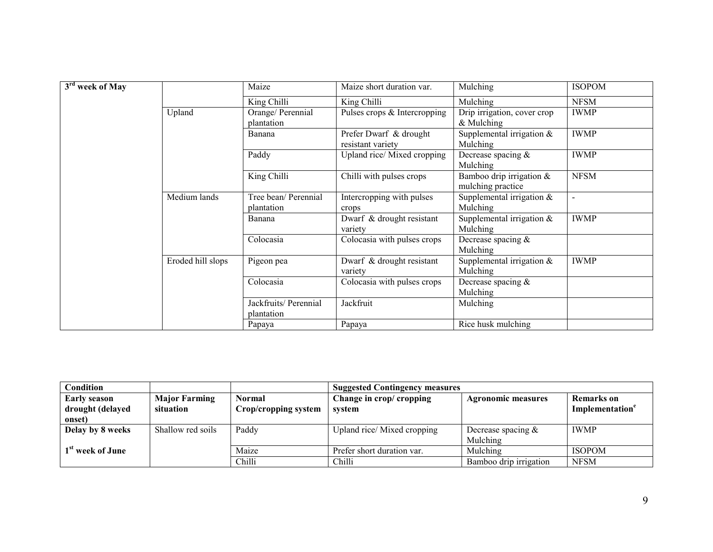| 3 <sup>rd</sup> week of May |                   | Maize                               | Maize short duration var.                   | Mulching                                      | <b>ISOPOM</b> |
|-----------------------------|-------------------|-------------------------------------|---------------------------------------------|-----------------------------------------------|---------------|
|                             |                   | King Chilli                         | King Chilli                                 | Mulching                                      | <b>NFSM</b>   |
|                             | Upland            | Orange/ Perennial<br>plantation     | Pulses crops & Intercropping                | Drip irrigation, cover crop<br>$&$ Mulching   | <b>IWMP</b>   |
|                             |                   | Banana                              | Prefer Dwarf & drought<br>resistant variety | Supplemental irrigation $&$<br>Mulching       | <b>IWMP</b>   |
|                             |                   | Paddy                               | Upland rice/Mixed cropping                  | Decrease spacing $&$<br>Mulching              | <b>IWMP</b>   |
|                             |                   | King Chilli                         | Chilli with pulses crops                    | Bamboo drip irrigation &<br>mulching practice | <b>NFSM</b>   |
|                             | Medium lands      | Tree bean/ Perennial<br>plantation  | Intercropping with pulses<br>crops          | Supplemental irrigation $\&$<br>Mulching      | $\sim$        |
|                             |                   | Banana                              | Dwarf & drought resistant<br>variety        | Supplemental irrigation $&$<br>Mulching       | <b>IWMP</b>   |
|                             |                   | Colocasia                           | Colocasia with pulses crops                 | Decrease spacing $&$<br>Mulching              |               |
|                             | Eroded hill slops | Pigeon pea                          | Dwarf & drought resistant<br>variety        | Supplemental irrigation $&$<br>Mulching       | <b>IWMP</b>   |
|                             |                   | Colocasia                           | Colocasia with pulses crops                 | Decrease spacing $&$<br>Mulching              |               |
|                             |                   | Jackfruits/ Perennial<br>plantation | Jackfruit                                   | Mulching                                      |               |
|                             |                   | Papaya                              | Papaya                                      | Rice husk mulching                            |               |

| Condition                               |                                   |                                | <b>Suggested Contingency measures</b> |                           |                                                  |  |
|-----------------------------------------|-----------------------------------|--------------------------------|---------------------------------------|---------------------------|--------------------------------------------------|--|
| <b>Early season</b><br>drought (delayed | <b>Major Farming</b><br>situation | Normal<br>Crop/cropping system | Change in crop/ cropping<br>svstem    | <b>Agronomic measures</b> | <b>Remarks</b> on<br>Implementation <sup>e</sup> |  |
| onset)                                  |                                   |                                |                                       |                           |                                                  |  |
| Delay by 8 weeks                        | Shallow red soils                 | Paddy                          | Upland rice/Mixed cropping            | Decrease spacing $\&$     | <b>IWMP</b>                                      |  |
|                                         |                                   |                                |                                       | Mulching                  |                                                  |  |
| 1 <sup>st</sup> week of June            |                                   | Maize                          | Prefer short duration var.            | Mulching                  | <b>ISOPOM</b>                                    |  |
|                                         |                                   | Chilli                         | Chilli                                | Bamboo drip irrigation    | <b>NFSM</b>                                      |  |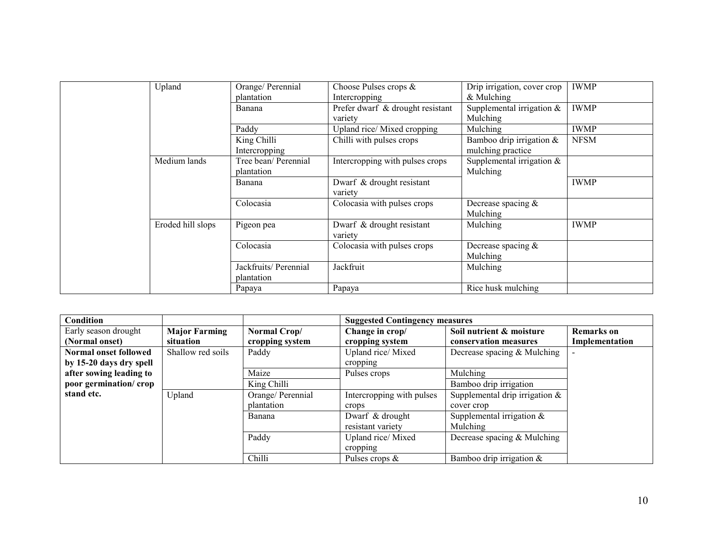| Upland            | Orange/ Perennial     | Choose Pulses crops &            | Drip irrigation, cover crop | <b>IWMP</b> |
|-------------------|-----------------------|----------------------------------|-----------------------------|-------------|
|                   | plantation            | Intercropping                    | & Mulching                  |             |
|                   | Banana                | Prefer dwarf & drought resistant | Supplemental irrigation $&$ | <b>IWMP</b> |
|                   |                       | variety                          | Mulching                    |             |
|                   | Paddy                 | Upland rice/Mixed cropping       | Mulching                    | <b>IWMP</b> |
|                   | King Chilli           | Chilli with pulses crops         | Bamboo drip irrigation $\&$ | <b>NFSM</b> |
|                   | Intercropping         |                                  | mulching practice           |             |
| Medium lands      | Tree bean/ Perennial  | Intercropping with pulses crops  | Supplemental irrigation $&$ |             |
|                   | plantation            |                                  | Mulching                    |             |
|                   | Banana                | Dwarf & drought resistant        |                             | <b>IWMP</b> |
|                   |                       | variety                          |                             |             |
|                   | Colocasia             | Colocasia with pulses crops      | Decrease spacing $&$        |             |
|                   |                       |                                  | Mulching                    |             |
| Eroded hill slops | Pigeon pea            | Dwarf & drought resistant        | Mulching                    | <b>IWMP</b> |
|                   |                       | variety                          |                             |             |
|                   | Colocasia             | Colocasia with pulses crops      | Decrease spacing $&$        |             |
|                   |                       |                                  | Mulching                    |             |
|                   | Jackfruits/ Perennial | Jackfruit                        | Mulching                    |             |
|                   | plantation            |                                  |                             |             |
|                   | Papaya                | Papaya                           | Rice husk mulching          |             |

| Condition               |                      |                   | <b>Suggested Contingency measures</b> |                                   |                   |
|-------------------------|----------------------|-------------------|---------------------------------------|-----------------------------------|-------------------|
| Early season drought    | <b>Major Farming</b> | Normal Crop/      | Change in crop/                       | Soil nutrient & moisture          | <b>Remarks</b> on |
| (Normal onset)          | situation            | cropping system   | cropping system                       | conservation measures             | Implementation    |
| Normal onset followed   | Shallow red soils    | Paddy             | Upland rice/Mixed                     | Decrease spacing & Mulching       |                   |
| by 15-20 days dry spell |                      |                   | cropping                              |                                   |                   |
| after sowing leading to |                      | Maize             | Pulses crops                          | Mulching                          |                   |
| poor germination/crop   |                      | King Chilli       |                                       | Bamboo drip irrigation            |                   |
| stand etc.              | Upland               | Orange/ Perennial | Intercropping with pulses             | Supplemental drip irrigation $\&$ |                   |
|                         |                      | plantation        | crops                                 | cover crop                        |                   |
|                         |                      | Banana            | Dwarf & drought                       | Supplemental irrigation $&$       |                   |
|                         |                      |                   | resistant variety                     | Mulching                          |                   |
|                         |                      | Paddy             | Upland rice/Mixed                     | Decrease spacing & Mulching       |                   |
|                         |                      |                   | cropping                              |                                   |                   |
|                         |                      | Chilli            | Pulses crops $\&$                     | Bamboo drip irrigation $\&$       |                   |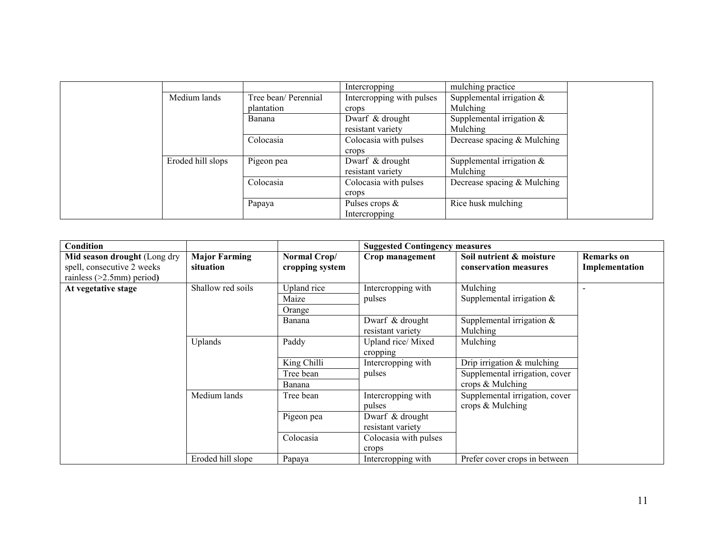|                   |                      | Intercropping             | mulching practice            |
|-------------------|----------------------|---------------------------|------------------------------|
| Medium lands      | Tree bean/ Perennial | Intercropping with pulses | Supplemental irrigation $&$  |
|                   | plantation           | crops                     | Mulching                     |
|                   | Banana               | Dwarf & drought           | Supplemental irrigation $&$  |
|                   |                      | resistant variety         | Mulching                     |
|                   | Colocasia            | Colocasia with pulses     | Decrease spacing & Mulching  |
|                   |                      | crops                     |                              |
| Eroded hill slops | Pigeon pea           | Dwarf & drought           | Supplemental irrigation $\&$ |
|                   |                      | resistant variety         | Mulching                     |
|                   | Colocasia            | Colocasia with pulses     | Decrease spacing & Mulching  |
|                   |                      | crops                     |                              |
|                   | Papaya               | Pulses crops $\&$         | Rice husk mulching           |
|                   |                      | Intercropping             |                              |

| Condition                                                                                  |                                   |                                 | <b>Suggested Contingency measures</b> |                                                    |                                     |
|--------------------------------------------------------------------------------------------|-----------------------------------|---------------------------------|---------------------------------------|----------------------------------------------------|-------------------------------------|
| Mid season drought (Long dry<br>spell, consecutive 2 weeks<br>rainless $(>2.5$ mm) period) | <b>Major Farming</b><br>situation | Normal Crop/<br>cropping system | Crop management                       | Soil nutrient & moisture<br>conservation measures  | <b>Remarks</b> on<br>Implementation |
| At vegetative stage                                                                        | Shallow red soils                 | Upland rice<br>Maize<br>Orange  | Intercropping with<br>pulses          | Mulching<br>Supplemental irrigation $\&$           |                                     |
|                                                                                            |                                   | Banana                          | Dwarf & drought<br>resistant variety  | Supplemental irrigation $\&$<br>Mulching           |                                     |
|                                                                                            | Uplands                           | Paddy                           | Upland rice/Mixed<br>cropping         | Mulching                                           |                                     |
|                                                                                            |                                   | King Chilli                     | Intercropping with                    | Drip irrigation $&$ mulching                       |                                     |
|                                                                                            |                                   | Tree bean                       | pulses                                | Supplemental irrigation, cover                     |                                     |
|                                                                                            |                                   | Banana                          |                                       | crops & Mulching                                   |                                     |
|                                                                                            | Medium lands                      | Tree bean                       | Intercropping with<br>pulses          | Supplemental irrigation, cover<br>crops & Mulching |                                     |
|                                                                                            |                                   | Pigeon pea                      | Dwarf & drought<br>resistant variety  |                                                    |                                     |
|                                                                                            |                                   | Colocasia                       | Colocasia with pulses<br>crops        |                                                    |                                     |
|                                                                                            | Eroded hill slope                 | Papaya                          | Intercropping with                    | Prefer cover crops in between                      |                                     |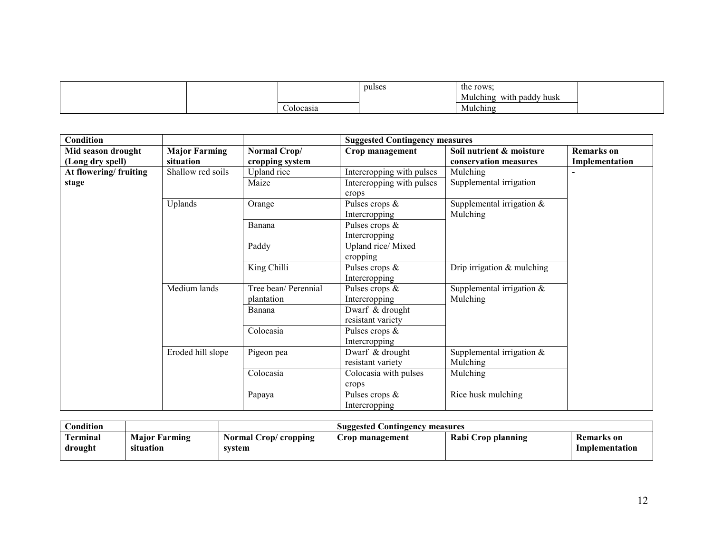|  |          | pulse:<br>$\cdots$ | the rows:<br>Mulching<br>with paddy husk |  |
|--|----------|--------------------|------------------------------------------|--|
|  | olocasia |                    | Mulching                                 |  |

| <b>Condition</b>      |                      |                      | <b>Suggested Contingency measures</b> |                              |                |  |
|-----------------------|----------------------|----------------------|---------------------------------------|------------------------------|----------------|--|
| Mid season drought    | <b>Major Farming</b> | Normal Crop/         | Crop management                       | Soil nutrient & moisture     | Remarks on     |  |
| (Long dry spell)      | situation            | cropping system      |                                       | conservation measures        | Implementation |  |
| At flowering/fruiting | Shallow red soils    | Upland rice          | Intercropping with pulses             | Mulching                     |                |  |
| stage                 |                      | Maize                | Intercropping with pulses             | Supplemental irrigation      |                |  |
|                       |                      |                      | crops                                 |                              |                |  |
|                       | Uplands              | Orange               | Pulses crops $\&$                     | Supplemental irrigation $&$  |                |  |
|                       |                      |                      | Intercropping                         | Mulching                     |                |  |
|                       |                      | Banana               | Pulses crops $\&$                     |                              |                |  |
|                       |                      |                      | Intercropping                         |                              |                |  |
|                       |                      | Paddy                | Upland rice/Mixed                     |                              |                |  |
|                       |                      |                      | cropping                              |                              |                |  |
|                       |                      | King Chilli          | Pulses crops &                        | Drip irrigation & mulching   |                |  |
|                       |                      |                      | Intercropping                         |                              |                |  |
|                       | Medium lands         | Tree bean/ Perennial | Pulses crops &                        | Supplemental irrigation $\&$ |                |  |
|                       |                      | plantation           | Intercropping                         | Mulching                     |                |  |
|                       |                      | Banana               | Dwarf & drought                       |                              |                |  |
|                       |                      |                      | resistant variety                     |                              |                |  |
|                       |                      | Colocasia            | Pulses crops $\&$                     |                              |                |  |
|                       |                      |                      | Intercropping                         |                              |                |  |
|                       | Eroded hill slope    | Pigeon pea           | Dwarf & drought                       | Supplemental irrigation $&$  |                |  |
|                       |                      |                      | resistant variety                     | Mulching                     |                |  |
|                       |                      | Colocasia            | Colocasia with pulses                 | Mulching                     |                |  |
|                       |                      |                      | crops                                 |                              |                |  |
|                       |                      | Papaya               | Pulses crops $\&$                     | Rice husk mulching           |                |  |
|                       |                      |                      | Intercropping                         |                              |                |  |

| $\cap$ ondition     |                                   |                                 | <b>Suggested Contingency measures</b> |                    |                                     |
|---------------------|-----------------------------------|---------------------------------|---------------------------------------|--------------------|-------------------------------------|
| Terminal<br>drought | <b>Major Farming</b><br>situation | Normal Crop/ cropping<br>system | rop management                        | Rabi Crop planning | <b>Remarks</b> on<br>Implementation |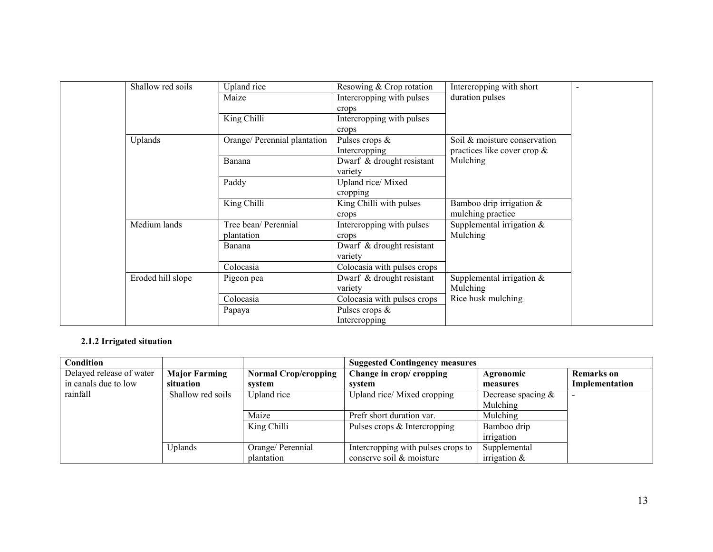| Shallow red soils | Upland rice                  | Resowing & Crop rotation    | Intercropping with short       |
|-------------------|------------------------------|-----------------------------|--------------------------------|
|                   | Maize                        | Intercropping with pulses   | duration pulses                |
|                   |                              | crops                       |                                |
|                   | King Chilli                  | Intercropping with pulses   |                                |
|                   |                              | crops                       |                                |
| Uplands           | Orange/ Perennial plantation | Pulses crops $\&$           | Soil & moisture conservation   |
|                   |                              | Intercropping               | practices like cover crop $\&$ |
|                   | Banana                       | Dwarf & drought resistant   | Mulching                       |
|                   |                              | variety                     |                                |
|                   | Paddy                        | Upland rice/Mixed           |                                |
|                   |                              | cropping                    |                                |
|                   | King Chilli                  | King Chilli with pulses     | Bamboo drip irrigation $\&$    |
|                   |                              | crops                       | mulching practice              |
| Medium lands      | Tree bean/ Perennial         | Intercropping with pulses   | Supplemental irrigation $&$    |
|                   | plantation                   | crops                       | Mulching                       |
|                   | Banana                       | Dwarf & drought resistant   |                                |
|                   |                              | variety                     |                                |
|                   | Colocasia                    | Colocasia with pulses crops |                                |
| Eroded hill slope | Pigeon pea                   | Dwarf & drought resistant   | Supplemental irrigation $\&$   |
|                   |                              | variety                     | Mulching                       |
|                   | Colocasia                    | Colocasia with pulses crops | Rice husk mulching             |
|                   | Papaya                       | Pulses crops $\&$           |                                |
|                   |                              | Intercropping               |                                |

## 2.1.2 Irrigated situation

| Condition                |                      |                             | <b>Suggested Contingency measures</b> |                       |                   |
|--------------------------|----------------------|-----------------------------|---------------------------------------|-----------------------|-------------------|
| Delayed release of water | <b>Major Farming</b> | <b>Normal Crop/cropping</b> | Change in crop/ cropping              | Agronomic             | <b>Remarks</b> on |
| in canals due to low     | situation            | system                      | svstem                                | measures              | Implementation    |
| rainfall                 | Shallow red soils    | Upland rice                 | Upland rice/Mixed cropping            | Decrease spacing $\&$ |                   |
|                          |                      |                             |                                       | Mulching              |                   |
|                          |                      | Maize                       | Prefr short duration var.             | Mulching              |                   |
|                          |                      | King Chilli                 | Pulses crops & Intercropping          | Bamboo drip           |                   |
|                          |                      |                             |                                       | irrigation            |                   |
|                          | Uplands              | Orange/ Perennial           | Intercropping with pulses crops to    | Supplemental          |                   |
|                          |                      | plantation                  | conserve soil & moisture              | irrigation $\&$       |                   |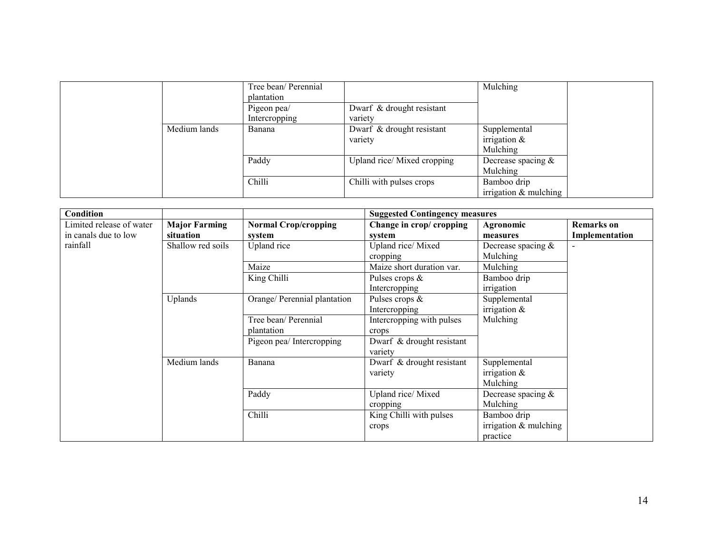|              | Tree bean/ Perennial<br>plantation |                                      | Mulching                                    |
|--------------|------------------------------------|--------------------------------------|---------------------------------------------|
|              | Pigeon pea/<br>Intercropping       | Dwarf & drought resistant<br>variety |                                             |
| Medium lands | Banana                             | Dwarf & drought resistant<br>variety | Supplemental<br>irrigation $\&$<br>Mulching |
|              | Paddy                              | Upland rice/Mixed cropping           | Decrease spacing $\&$<br>Mulching           |
|              | Chilli                             | Chilli with pulses crops             | Bamboo drip<br>irrigation $&$ mulching      |

| Condition                |                      |                              | <b>Suggested Contingency measures</b> |                         |                   |
|--------------------------|----------------------|------------------------------|---------------------------------------|-------------------------|-------------------|
| Limited release of water | <b>Major Farming</b> | <b>Normal Crop/cropping</b>  | Change in crop/ cropping              | Agronomic               | <b>Remarks</b> on |
| in canals due to low     | situation            | system                       | system                                | measures                | Implementation    |
| rainfall                 | Shallow red soils    | Upland rice                  | Upland rice/Mixed                     | Decrease spacing $&$    |                   |
|                          |                      |                              | cropping                              | Mulching                |                   |
|                          |                      | Maize                        | Maize short duration var.             | Mulching                |                   |
|                          |                      | King Chilli                  | Pulses crops $\&$                     | Bamboo drip             |                   |
|                          |                      |                              | Intercropping                         | irrigation              |                   |
|                          | Uplands              | Orange/ Perennial plantation | Pulses crops $\&$                     | Supplemental            |                   |
|                          |                      |                              | Intercropping                         | irrigation $\&$         |                   |
|                          |                      | Tree bean/ Perennial         | Intercropping with pulses             | Mulching                |                   |
|                          |                      | plantation                   | crops                                 |                         |                   |
|                          |                      | Pigeon pea/ Intercropping    | Dwarf & drought resistant             |                         |                   |
|                          |                      |                              | variety                               |                         |                   |
|                          | Medium lands         | Banana                       | Dwarf & drought resistant             | Supplemental            |                   |
|                          |                      |                              | variety                               | irrigation $\&$         |                   |
|                          |                      |                              |                                       | Mulching                |                   |
|                          |                      | Paddy                        | Upland rice/Mixed                     | Decrease spacing $\&$   |                   |
|                          |                      |                              | cropping                              | Mulching                |                   |
|                          |                      | Chilli                       | King Chilli with pulses               | Bamboo drip             |                   |
|                          |                      |                              | crops                                 | irrigation $&$ mulching |                   |
|                          |                      |                              |                                       | practice                |                   |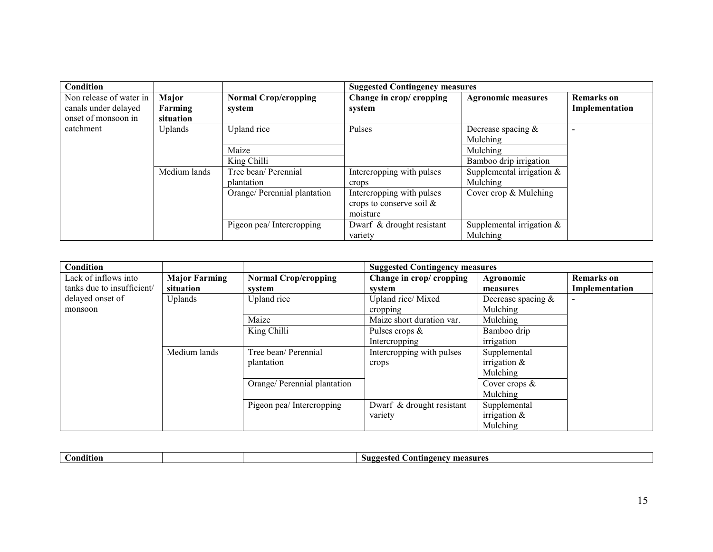| <b>Condition</b>        |                |                              | <b>Suggested Contingency measures</b> |                              |                   |
|-------------------------|----------------|------------------------------|---------------------------------------|------------------------------|-------------------|
| Non release of water in | Major          | <b>Normal Crop/cropping</b>  | Change in crop/ cropping              | <b>Agronomic measures</b>    | <b>Remarks</b> on |
| canals under delayed    | Farming        | system                       | system                                |                              | Implementation    |
| onset of monsoon in     | situation      |                              |                                       |                              |                   |
| catchment               | <b>Uplands</b> | Upland rice                  | Pulses                                | Decrease spacing $\&$        |                   |
|                         |                |                              |                                       | Mulching                     |                   |
|                         |                | Maize                        |                                       | Mulching                     |                   |
|                         |                | King Chilli                  |                                       | Bamboo drip irrigation       |                   |
|                         | Medium lands   | Tree bean/ Perennial         | Intercropping with pulses             | Supplemental irrigation $\&$ |                   |
|                         |                | plantation                   | crops                                 | Mulching                     |                   |
|                         |                | Orange/ Perennial plantation | Intercropping with pulses             | Cover crop & Mulching        |                   |
|                         |                |                              | crops to conserve soil $\&$           |                              |                   |
|                         |                |                              | moisture                              |                              |                   |
|                         |                | Pigeon pea/ Intercropping    | Dwarf & drought resistant             | Supplemental irrigation $&$  |                   |
|                         |                |                              | variety                               | Mulching                     |                   |

| Condition                  |                      |                              | <b>Suggested Contingency measures</b> |                       |                   |
|----------------------------|----------------------|------------------------------|---------------------------------------|-----------------------|-------------------|
| Lack of inflows into       | <b>Major Farming</b> | <b>Normal Crop/cropping</b>  | Change in crop/ cropping              | Agronomic             | <b>Remarks</b> on |
| tanks due to insufficient/ | situation            | system                       | system                                | measures              | Implementation    |
| delayed onset of           | Uplands              | Upland rice                  | Upland rice/Mixed                     | Decrease spacing $\&$ |                   |
| monsoon                    |                      |                              | cropping                              | Mulching              |                   |
|                            |                      | Maize                        | Maize short duration var.             | Mulching              |                   |
|                            |                      | King Chilli                  | Pulses crops $\&$                     | Bamboo drip           |                   |
|                            |                      |                              | Intercropping                         | irrigation            |                   |
|                            | Medium lands         | Tree bean/ Perennial         | Intercropping with pulses             | Supplemental          |                   |
|                            |                      | plantation                   | crops                                 | irrigation $\&$       |                   |
|                            |                      |                              |                                       | Mulching              |                   |
|                            |                      | Orange/ Perennial plantation |                                       | Cover crops $\&$      |                   |
|                            |                      |                              |                                       | Mulching              |                   |
|                            |                      | Pigeon pea/ Intercropping    | Dwarf & drought resistant             | Supplemental          |                   |
|                            |                      |                              | variety                               | irrigation $\&$       |                   |
|                            |                      |                              |                                       | Mulching              |                   |

|  | ondition | Suggested<br>tıngencv<br>measures<br>.ont |
|--|----------|-------------------------------------------|
|--|----------|-------------------------------------------|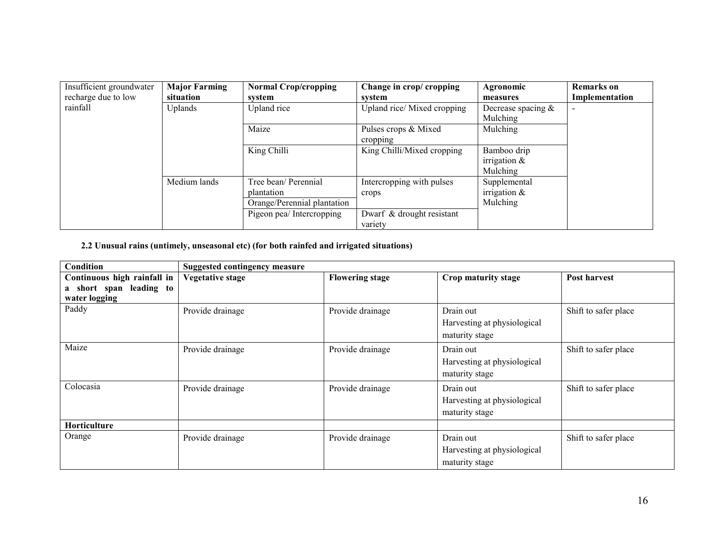| Insufficient groundwater | <b>Major Farming</b> | <b>Normal Crop/cropping</b> | Change in crop/cropping    | Agronomic             | <b>Remarks</b> on |
|--------------------------|----------------------|-----------------------------|----------------------------|-----------------------|-------------------|
| recharge due to low      | situation            | system                      | system                     | measures              | Implementation    |
| rainfall                 | Uplands              | Upland rice                 | Upland rice/Mixed cropping | Decrease spacing $\&$ |                   |
|                          |                      |                             |                            | Mulching              |                   |
|                          |                      | Maize                       | Pulses crops & Mixed       | Mulching              |                   |
|                          |                      |                             | cropping                   |                       |                   |
|                          |                      | King Chilli                 | King Chilli/Mixed cropping | Bamboo drip           |                   |
|                          |                      |                             |                            | irrigation $&$        |                   |
|                          |                      |                             |                            | Mulching              |                   |
|                          | Medium lands         | Tree bean/ Perennial        | Intercropping with pulses  | Supplemental          |                   |
|                          |                      | plantation                  | crops                      | irrigation $\&$       |                   |
|                          |                      | Orange/Perennial plantation |                            | Mulching              |                   |
|                          |                      | Pigeon pea/ Intercropping   | Dwarf & drought resistant  |                       |                   |
|                          |                      |                             | variety                    |                       |                   |

# 2.2 Unusual rains (untimely, unseasonal etc) (for both rainfed and irrigated situations)

| Condition                   | <b>Suggested contingency measure</b> |                        |                             |                      |
|-----------------------------|--------------------------------------|------------------------|-----------------------------|----------------------|
| Continuous high rainfall in | <b>Vegetative stage</b>              | <b>Flowering stage</b> | Crop maturity stage         | Post harvest         |
| a short span<br>leading to  |                                      |                        |                             |                      |
| water logging               |                                      |                        |                             |                      |
| Paddy                       | Provide drainage                     | Provide drainage       | Drain out                   | Shift to safer place |
|                             |                                      |                        | Harvesting at physiological |                      |
|                             |                                      |                        | maturity stage              |                      |
| Maize                       | Provide drainage                     | Provide drainage       | Drain out                   | Shift to safer place |
|                             |                                      |                        | Harvesting at physiological |                      |
|                             |                                      |                        | maturity stage              |                      |
| Colocasia                   | Provide drainage                     | Provide drainage       | Drain out                   | Shift to safer place |
|                             |                                      |                        | Harvesting at physiological |                      |
|                             |                                      |                        | maturity stage              |                      |
| Horticulture                |                                      |                        |                             |                      |
| Orange                      | Provide drainage                     | Provide drainage       | Drain out                   | Shift to safer place |
|                             |                                      |                        | Harvesting at physiological |                      |
|                             |                                      |                        | maturity stage              |                      |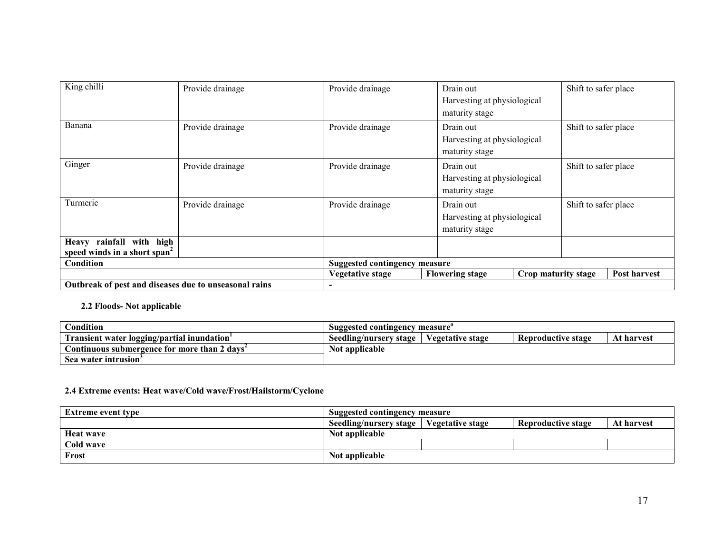| King chilli                                                          | Provide drainage | Provide drainage                     | Drain out<br>Harvesting at physiological<br>maturity stage |                     | Shift to safer place |              |
|----------------------------------------------------------------------|------------------|--------------------------------------|------------------------------------------------------------|---------------------|----------------------|--------------|
| Banana                                                               | Provide drainage | Provide drainage                     | Drain out<br>Harvesting at physiological<br>maturity stage |                     | Shift to safer place |              |
| Ginger                                                               | Provide drainage | Provide drainage                     | Drain out<br>Harvesting at physiological<br>maturity stage |                     | Shift to safer place |              |
| Turmeric                                                             | Provide drainage | Provide drainage                     | Drain out<br>Harvesting at physiological<br>maturity stage |                     | Shift to safer place |              |
| Heavy rainfall with high<br>speed winds in a short span <sup>2</sup> |                  |                                      |                                                            |                     |                      |              |
| Condition                                                            |                  | <b>Suggested contingency measure</b> |                                                            |                     |                      |              |
|                                                                      |                  | <b>Vegetative stage</b>              | <b>Flowering stage</b>                                     | Crop maturity stage |                      | Post harvest |
| Outbreak of pest and diseases due to unseasonal rains                |                  |                                      |                                                            |                     |                      |              |

#### 2.2 Floods- Not applicable

| Condition                                    | Suggested contingency measure                                                  |  |  |  |  |
|----------------------------------------------|--------------------------------------------------------------------------------|--|--|--|--|
| Transient water logging/partial inundation   | Vegetative stage<br>Seedling/nursery stage<br>At harvest<br>Reproductive stage |  |  |  |  |
| Continuous submergence for more than 2 davs" | Not applicable                                                                 |  |  |  |  |
| Sea water intrusion°                         |                                                                                |  |  |  |  |

# 2.4 Extreme events: Heat wave/Cold wave/Frost/Hailstorm/Cyclone

| <b>Extreme event type</b> | <b>Suggested contingency measure</b>                                                         |  |  |  |  |
|---------------------------|----------------------------------------------------------------------------------------------|--|--|--|--|
|                           | <b>Vegetative stage</b><br>Seedling/nursery stage<br><b>Reproductive stage</b><br>At harvest |  |  |  |  |
| <b>Heat wave</b>          | Not applicable                                                                               |  |  |  |  |
| Cold wave                 |                                                                                              |  |  |  |  |
| Frost                     | Not applicable                                                                               |  |  |  |  |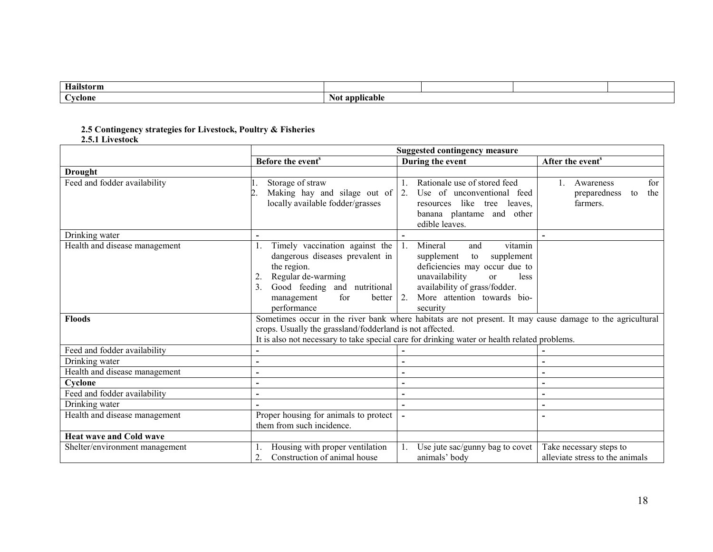| Hailstorm         |                   |  |  |
|-------------------|-------------------|--|--|
| $\sim$<br>`vclone | applicable<br>Not |  |  |

# 2.5 Contingency strategies for Livestock, Poultry & Fisheries

|                                | <b>Suggested contingency measure</b>                                                                                                                                                                                                                                  |                                                                                                                                                                                                                                     |                                                            |  |  |
|--------------------------------|-----------------------------------------------------------------------------------------------------------------------------------------------------------------------------------------------------------------------------------------------------------------------|-------------------------------------------------------------------------------------------------------------------------------------------------------------------------------------------------------------------------------------|------------------------------------------------------------|--|--|
|                                | Before the event <sup>s</sup>                                                                                                                                                                                                                                         | During the event                                                                                                                                                                                                                    | After the event <sup>s</sup>                               |  |  |
| <b>Drought</b>                 |                                                                                                                                                                                                                                                                       |                                                                                                                                                                                                                                     |                                                            |  |  |
| Feed and fodder availability   | Storage of straw<br>Making hay and silage out of $\vert 2$ .<br>locally available fodder/grasses                                                                                                                                                                      | Rationale use of stored feed<br>Use of unconventional feed<br>like tree<br>leaves,<br>resources<br>banana plantame and other<br>edible leaves.                                                                                      | for<br>Awareness<br>the<br>preparedness<br>to<br>farmers.  |  |  |
| Drinking water                 |                                                                                                                                                                                                                                                                       |                                                                                                                                                                                                                                     |                                                            |  |  |
| Health and disease management  | Timely vaccination against the<br>dangerous diseases prevalent in<br>the region.<br>Regular de-warming<br>2<br>Good feeding and nutritional<br>3.<br>for<br>better<br>management<br>performance                                                                       | vitamin<br>Mineral<br>and<br>supplement<br>supplement<br>to<br>deficiencies may occur due to<br>unavailability<br>less<br><sub>or</sub><br>availability of grass/fodder.<br>More attention towards bio-<br>$\sqrt{2}$ .<br>security |                                                            |  |  |
| <b>Floods</b>                  | Sometimes occur in the river bank where habitats are not present. It may cause damage to the agricultural<br>crops. Usually the grassland/fodderland is not affected.<br>It is also not necessary to take special care for drinking water or health related problems. |                                                                                                                                                                                                                                     |                                                            |  |  |
| Feed and fodder availability   |                                                                                                                                                                                                                                                                       |                                                                                                                                                                                                                                     |                                                            |  |  |
| Drinking water                 | $\blacksquare$                                                                                                                                                                                                                                                        | $\blacksquare$                                                                                                                                                                                                                      |                                                            |  |  |
| Health and disease management  | $\overline{\phantom{0}}$                                                                                                                                                                                                                                              |                                                                                                                                                                                                                                     |                                                            |  |  |
| Cyclone                        | $\blacksquare$                                                                                                                                                                                                                                                        | $\overline{\phantom{0}}$                                                                                                                                                                                                            |                                                            |  |  |
| Feed and fodder availability   | $\blacksquare$                                                                                                                                                                                                                                                        | $\blacksquare$                                                                                                                                                                                                                      |                                                            |  |  |
| Drinking water                 |                                                                                                                                                                                                                                                                       |                                                                                                                                                                                                                                     |                                                            |  |  |
| Health and disease management  | Proper housing for animals to protect<br>them from such incidence.                                                                                                                                                                                                    |                                                                                                                                                                                                                                     |                                                            |  |  |
| <b>Heat wave and Cold wave</b> |                                                                                                                                                                                                                                                                       |                                                                                                                                                                                                                                     |                                                            |  |  |
| Shelter/environment management | Housing with proper ventilation<br>Construction of animal house<br>$\overline{2}$ .                                                                                                                                                                                   | Use jute sac/gunny bag to covet<br>animals' body                                                                                                                                                                                    | Take necessary steps to<br>alleviate stress to the animals |  |  |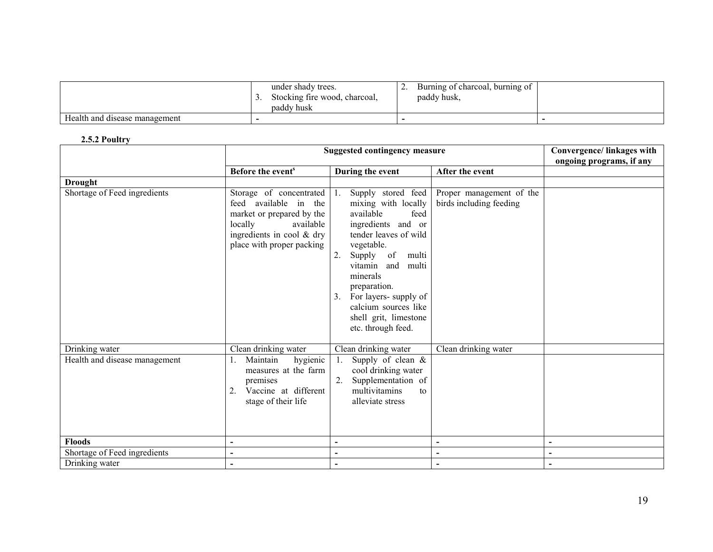|                               | under shady trees.<br>Stocking fire wood, charcoal,<br>paddy husk | Burning of charcoal, burning of<br>,<br>paddy husk, |  |
|-------------------------------|-------------------------------------------------------------------|-----------------------------------------------------|--|
| Health and disease management |                                                                   |                                                     |  |

## 2.5.2 Poultry

|                               | <b>Suggested contingency measure</b>                                                                                                                            | Convergence/linkages with<br>ongoing programs, if any                                                                                                                                                                                                                                                                      |                                                     |                          |
|-------------------------------|-----------------------------------------------------------------------------------------------------------------------------------------------------------------|----------------------------------------------------------------------------------------------------------------------------------------------------------------------------------------------------------------------------------------------------------------------------------------------------------------------------|-----------------------------------------------------|--------------------------|
|                               | Before the event <sup>s</sup>                                                                                                                                   |                                                                                                                                                                                                                                                                                                                            | After the event                                     |                          |
|                               |                                                                                                                                                                 | During the event                                                                                                                                                                                                                                                                                                           |                                                     |                          |
| <b>Drought</b>                |                                                                                                                                                                 |                                                                                                                                                                                                                                                                                                                            |                                                     |                          |
| Shortage of Feed ingredients  | Storage of concentrated<br>feed available in the<br>market or prepared by the<br>locally<br>available<br>ingredients in cool & dry<br>place with proper packing | Supply stored feed<br>1.<br>mixing with locally<br>available<br>feed<br>ingredients and or<br>tender leaves of wild<br>vegetable.<br>2.<br>Supply<br>of<br>multi<br>vitamin and<br>multi<br>minerals<br>preparation.<br>For layers- supply of<br>3.<br>calcium sources like<br>shell grit, limestone<br>etc. through feed. | Proper management of the<br>birds including feeding |                          |
| Drinking water                | Clean drinking water                                                                                                                                            | Clean drinking water                                                                                                                                                                                                                                                                                                       | Clean drinking water                                |                          |
| Health and disease management | Maintain<br>hygienic<br>measures at the farm<br>premises<br>Vaccine at different<br>$\overline{2}$ .<br>stage of their life                                     | Supply of clean $\&$<br>1.<br>cool drinking water<br>2.<br>Supplementation of<br>multivitamins<br>to<br>alleviate stress                                                                                                                                                                                                   |                                                     |                          |
| <b>Floods</b>                 | $\blacksquare$                                                                                                                                                  | $\overline{\phantom{0}}$                                                                                                                                                                                                                                                                                                   | $\blacksquare$                                      | $\overline{\phantom{a}}$ |
| Shortage of Feed ingredients  | $\blacksquare$                                                                                                                                                  | $\blacksquare$                                                                                                                                                                                                                                                                                                             | $\blacksquare$                                      | $\overline{\phantom{a}}$ |
| Drinking water                |                                                                                                                                                                 | $\overline{a}$                                                                                                                                                                                                                                                                                                             |                                                     |                          |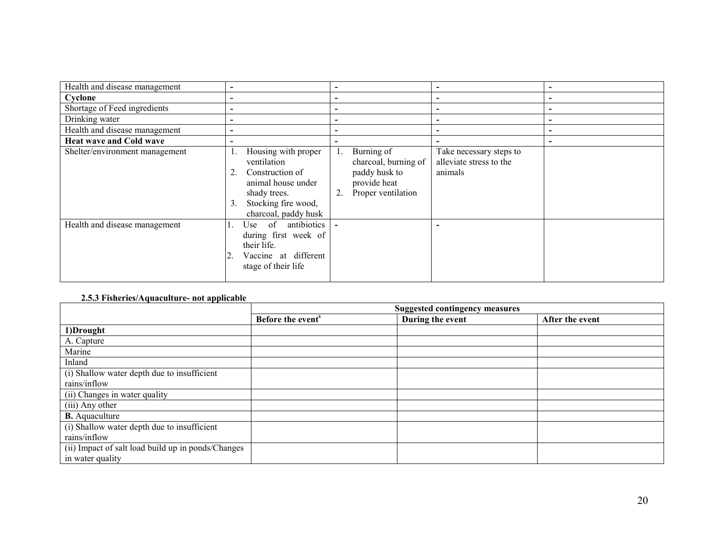| Health and disease management  |                                                                                                                                                        |                                                                                                 |                                                               |                          |
|--------------------------------|--------------------------------------------------------------------------------------------------------------------------------------------------------|-------------------------------------------------------------------------------------------------|---------------------------------------------------------------|--------------------------|
| Cyclone                        |                                                                                                                                                        | -                                                                                               |                                                               | $\overline{\phantom{0}}$ |
| Shortage of Feed ingredients   |                                                                                                                                                        | -                                                                                               | $\overline{\phantom{0}}$                                      | $\overline{\phantom{0}}$ |
| Drinking water                 |                                                                                                                                                        | -                                                                                               |                                                               | $\overline{\phantom{0}}$ |
| Health and disease management  |                                                                                                                                                        |                                                                                                 |                                                               |                          |
| <b>Heat wave and Cold wave</b> |                                                                                                                                                        |                                                                                                 |                                                               |                          |
| Shelter/environment management | Housing with proper<br>ventilation<br>Construction of<br>2.<br>animal house under<br>shady trees.<br>Stocking fire wood,<br>3.<br>charcoal, paddy husk | Burning of<br>charcoal, burning of<br>paddy husk to<br>provide heat<br>Proper ventilation<br>2. | Take necessary steps to<br>alleviate stress to the<br>animals |                          |
| Health and disease management  | antibiotics<br>of<br>Use<br>during first week of<br>their life.<br>Vaccine at different<br>stage of their life                                         |                                                                                                 |                                                               |                          |

## 2.5.3 Fisheries/Aquaculture- not applicable

|                                                    | <b>Suggested contingency measures</b> |                  |                 |  |  |
|----------------------------------------------------|---------------------------------------|------------------|-----------------|--|--|
|                                                    | Before the event <sup>s</sup>         | During the event | After the event |  |  |
| 1)Drought                                          |                                       |                  |                 |  |  |
| A. Capture                                         |                                       |                  |                 |  |  |
| Marine                                             |                                       |                  |                 |  |  |
| Inland                                             |                                       |                  |                 |  |  |
| (i) Shallow water depth due to insufficient        |                                       |                  |                 |  |  |
| rains/inflow                                       |                                       |                  |                 |  |  |
| (ii) Changes in water quality                      |                                       |                  |                 |  |  |
| (iii) Any other                                    |                                       |                  |                 |  |  |
| <b>B.</b> Aquaculture                              |                                       |                  |                 |  |  |
| (i) Shallow water depth due to insufficient        |                                       |                  |                 |  |  |
| rains/inflow                                       |                                       |                  |                 |  |  |
| (ii) Impact of salt load build up in ponds/Changes |                                       |                  |                 |  |  |
| in water quality                                   |                                       |                  |                 |  |  |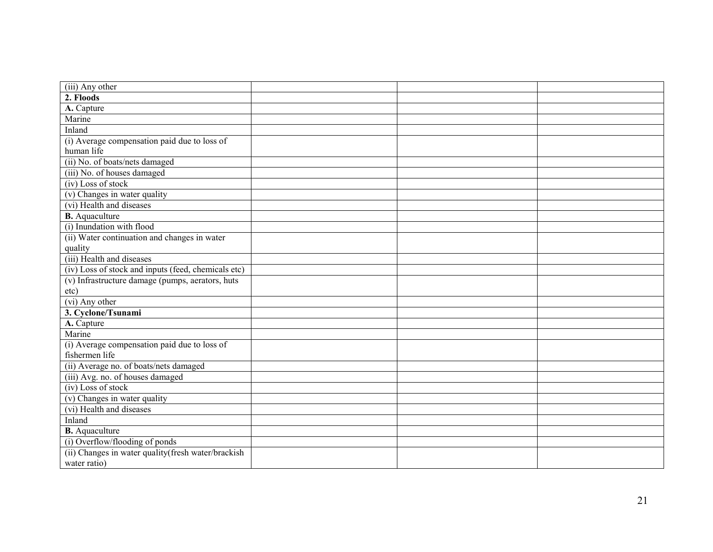| (iii) Any other                                     |  |  |
|-----------------------------------------------------|--|--|
| 2. Floods                                           |  |  |
| A. Capture                                          |  |  |
| Marine                                              |  |  |
| Inland                                              |  |  |
| (i) Average compensation paid due to loss of        |  |  |
| human life                                          |  |  |
| (ii) No. of boats/nets damaged                      |  |  |
| (iii) No. of houses damaged                         |  |  |
| $(iv)$ Loss of stock                                |  |  |
| (v) Changes in water quality                        |  |  |
| (vi) Health and diseases                            |  |  |
| <b>B.</b> Aquaculture                               |  |  |
| (i) Inundation with flood                           |  |  |
| (ii) Water continuation and changes in water        |  |  |
| quality                                             |  |  |
| (iii) Health and diseases                           |  |  |
| (iv) Loss of stock and inputs (feed, chemicals etc) |  |  |
| (v) Infrastructure damage (pumps, aerators, huts    |  |  |
| etc)                                                |  |  |
| $(vi)$ Any other                                    |  |  |
| 3. Cyclone/Tsunami                                  |  |  |
| A. Capture                                          |  |  |
| Marine                                              |  |  |
| (i) Average compensation paid due to loss of        |  |  |
| fishermen life                                      |  |  |
| (ii) Average no. of boats/nets damaged              |  |  |
| (iii) Avg. no. of houses damaged                    |  |  |
| $(iv)$ Loss of stock                                |  |  |
| (v) Changes in water quality                        |  |  |
| (vi) Health and diseases                            |  |  |
| Inland                                              |  |  |
| <b>B.</b> Aquaculture                               |  |  |
| (i) Overflow/flooding of ponds                      |  |  |
| (ii) Changes in water quality (fresh water/brackish |  |  |
| water ratio)                                        |  |  |